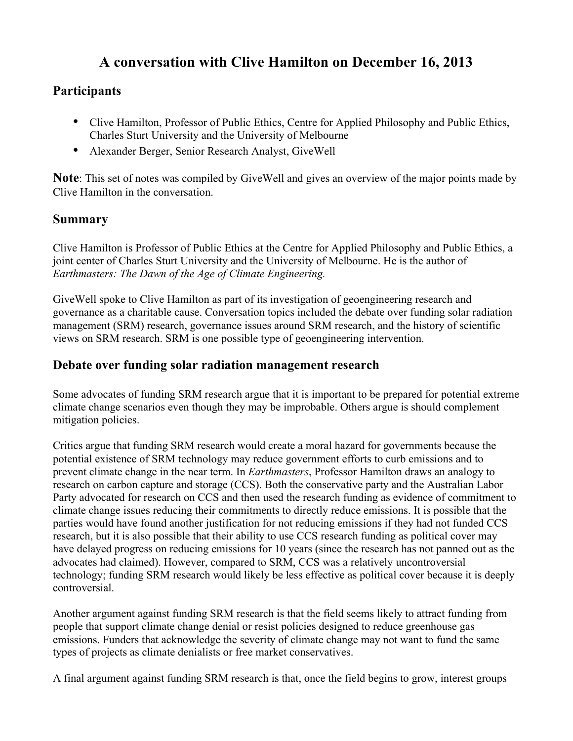# **A conversation with Clive Hamilton on December 16, 2013**

## **Participants**

- Clive Hamilton, Professor of Public Ethics, Centre for Applied Philosophy and Public Ethics, Charles Sturt University and the University of Melbourne
- Alexander Berger, Senior Research Analyst, GiveWell

**Note**: This set of notes was compiled by GiveWell and gives an overview of the major points made by Clive Hamilton in the conversation.

#### **Summary**

Clive Hamilton is Professor of Public Ethics at the Centre for Applied Philosophy and Public Ethics, a joint center of Charles Sturt University and the University of Melbourne. He is the author of *Earthmasters: The Dawn of the Age of Climate Engineering.*

GiveWell spoke to Clive Hamilton as part of its investigation of geoengineering research and governance as a charitable cause. Conversation topics included the debate over funding solar radiation management (SRM) research, governance issues around SRM research, and the history of scientific views on SRM research. SRM is one possible type of geoengineering intervention.

### **Debate over funding solar radiation management research**

Some advocates of funding SRM research argue that it is important to be prepared for potential extreme climate change scenarios even though they may be improbable. Others argue is should complement mitigation policies.

Critics argue that funding SRM research would create a moral hazard for governments because the potential existence of SRM technology may reduce government efforts to curb emissions and to prevent climate change in the near term. In *Earthmasters*, Professor Hamilton draws an analogy to research on carbon capture and storage (CCS). Both the conservative party and the Australian Labor Party advocated for research on CCS and then used the research funding as evidence of commitment to climate change issues reducing their commitments to directly reduce emissions. It is possible that the parties would have found another justification for not reducing emissions if they had not funded CCS research, but it is also possible that their ability to use CCS research funding as political cover may have delayed progress on reducing emissions for 10 years (since the research has not panned out as the advocates had claimed). However, compared to SRM, CCS was a relatively uncontroversial technology; funding SRM research would likely be less effective as political cover because it is deeply controversial.

Another argument against funding SRM research is that the field seems likely to attract funding from people that support climate change denial or resist policies designed to reduce greenhouse gas emissions. Funders that acknowledge the severity of climate change may not want to fund the same types of projects as climate denialists or free market conservatives.

A final argument against funding SRM research is that, once the field begins to grow, interest groups